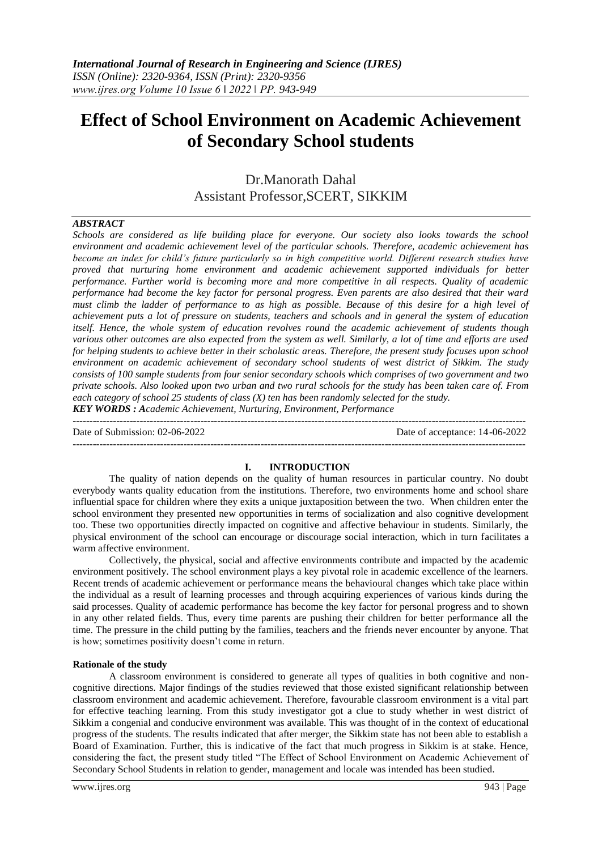# **Effect of School Environment on Academic Achievement of Secondary School students**

Dr.Manorath Dahal Assistant Professor,SCERT, SIKKIM

#### *ABSTRACT*

*Schools are considered as life building place for everyone. Our society also looks towards the school environment and academic achievement level of the particular schools. Therefore, academic achievement has become an index for child's future particularly so in high competitive world. Different research studies have proved that nurturing home environment and academic achievement supported individuals for better performance. Further world is becoming more and more competitive in all respects. Quality of academic performance had become the key factor for personal progress. Even parents are also desired that their ward must climb the ladder of performance to as high as possible. Because of this desire for a high level of achievement puts a lot of pressure on students, teachers and schools and in general the system of education itself. Hence, the whole system of education revolves round the academic achievement of students though various other outcomes are also expected from the system as well. Similarly, a lot of time and efforts are used for helping students to achieve better in their scholastic areas. Therefore, the present study focuses upon school environment on academic achievement of secondary school students of west district of Sikkim. The study consists of 100 sample students from four senior secondary schools which comprises of two government and two private schools. Also looked upon two urban and two rural schools for the study has been taken care of. From each category of school 25 students of class (X) ten has been randomly selected for the study.*

*KEY WORDS : Academic Achievement, Nurturing, Environment, Performance* ---------------------------------------------------------------------------------------------------------------------------------------

Date of Submission: 02-06-2022 Date of acceptance: 14-06-2022

---------------------------------------------------------------------------------------------------------------------------------------

#### **I. INTRODUCTION**

The quality of nation depends on the quality of human resources in particular country. No doubt everybody wants quality education from the institutions. Therefore, two environments home and school share influential space for children where they exits a unique juxtaposition between the two. When children enter the school environment they presented new opportunities in terms of socialization and also cognitive development too. These two opportunities directly impacted on cognitive and affective behaviour in students. Similarly, the physical environment of the school can encourage or discourage social interaction, which in turn facilitates a warm affective environment.

Collectively, the physical, social and affective environments contribute and impacted by the academic environment positively. The school environment plays a key pivotal role in academic excellence of the learners. Recent trends of academic achievement or performance means the behavioural changes which take place within the individual as a result of learning processes and through acquiring experiences of various kinds during the said processes. Quality of academic performance has become the key factor for personal progress and to shown in any other related fields. Thus, every time parents are pushing their children for better performance all the time. The pressure in the child putting by the families, teachers and the friends never encounter by anyone. That is how; sometimes positivity doesn"t come in return.

#### **Rationale of the study**

A classroom environment is considered to generate all types of qualities in both cognitive and noncognitive directions. Major findings of the studies reviewed that those existed significant relationship between classroom environment and academic achievement. Therefore, favourable classroom environment is a vital part for effective teaching learning. From this study investigator got a clue to study whether in west district of Sikkim a congenial and conducive environment was available. This was thought of in the context of educational progress of the students. The results indicated that after merger, the Sikkim state has not been able to establish a Board of Examination. Further, this is indicative of the fact that much progress in Sikkim is at stake. Hence, considering the fact, the present study titled "The Effect of School Environment on Academic Achievement of Secondary School Students in relation to gender, management and locale was intended has been studied.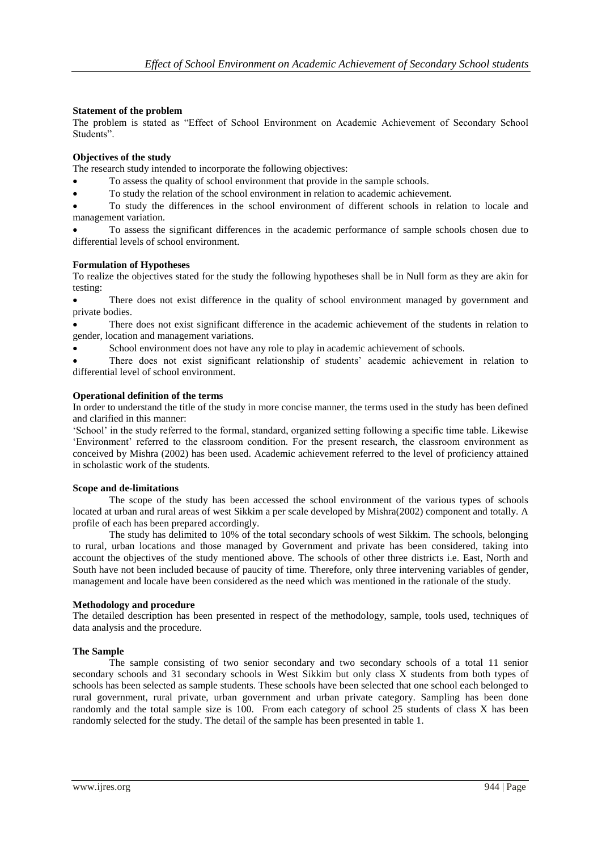## **Statement of the problem**

The problem is stated as "Effect of School Environment on Academic Achievement of Secondary School Students".

# **Objectives of the study**

The research study intended to incorporate the following objectives:

- To assess the quality of school environment that provide in the sample schools.
- To study the relation of the school environment in relation to academic achievement.

 To study the differences in the school environment of different schools in relation to locale and management variation.

 To assess the significant differences in the academic performance of sample schools chosen due to differential levels of school environment.

#### **Formulation of Hypotheses**

To realize the objectives stated for the study the following hypotheses shall be in Null form as they are akin for testing:

 There does not exist difference in the quality of school environment managed by government and private bodies.

 There does not exist significant difference in the academic achievement of the students in relation to gender, location and management variations.

School environment does not have any role to play in academic achievement of schools.

 There does not exist significant relationship of students" academic achievement in relation to differential level of school environment.

### **Operational definition of the terms**

In order to understand the title of the study in more concise manner, the terms used in the study has been defined and clarified in this manner:

"School" in the study referred to the formal, standard, organized setting following a specific time table. Likewise "Environment" referred to the classroom condition. For the present research, the classroom environment as conceived by Mishra (2002) has been used. Academic achievement referred to the level of proficiency attained in scholastic work of the students.

### **Scope and de-limitations**

The scope of the study has been accessed the school environment of the various types of schools located at urban and rural areas of west Sikkim a per scale developed by Mishra(2002) component and totally. A profile of each has been prepared accordingly.

The study has delimited to 10% of the total secondary schools of west Sikkim. The schools, belonging to rural, urban locations and those managed by Government and private has been considered, taking into account the objectives of the study mentioned above. The schools of other three districts i.e. East, North and South have not been included because of paucity of time. Therefore, only three intervening variables of gender, management and locale have been considered as the need which was mentioned in the rationale of the study.

### **Methodology and procedure**

The detailed description has been presented in respect of the methodology, sample, tools used, techniques of data analysis and the procedure.

### **The Sample**

The sample consisting of two senior secondary and two secondary schools of a total 11 senior secondary schools and 31 secondary schools in West Sikkim but only class X students from both types of schools has been selected as sample students. These schools have been selected that one school each belonged to rural government, rural private, urban government and urban private category. Sampling has been done randomly and the total sample size is 100. From each category of school 25 students of class X has been randomly selected for the study. The detail of the sample has been presented in table 1.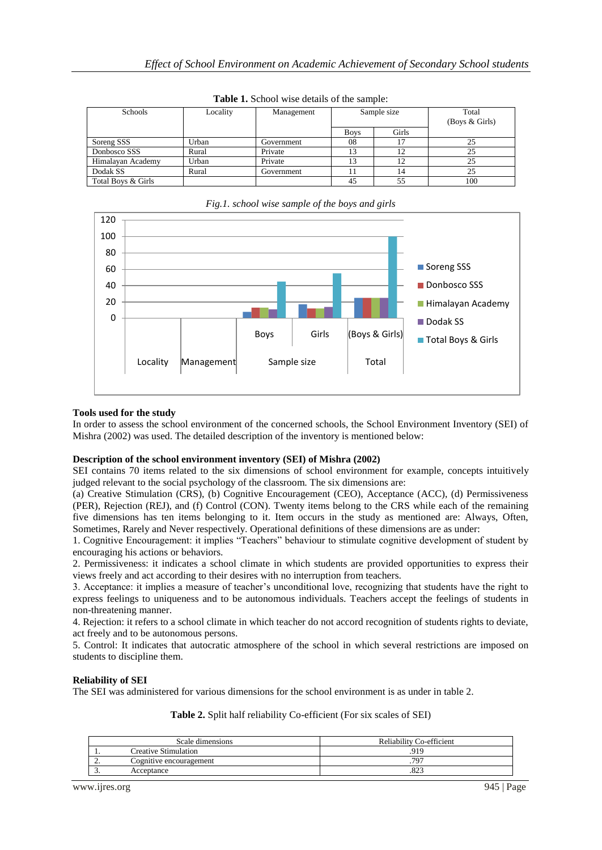| Schools            | Locality | Management | Sample size |       |     |  | Total<br>(Boys $&$ Girls) |  |  |
|--------------------|----------|------------|-------------|-------|-----|--|---------------------------|--|--|
|                    |          |            | <b>Boys</b> | Girls |     |  |                           |  |  |
| Soreng SSS         | Urban    | Government | 08          |       | 25  |  |                           |  |  |
| Donbosco SSS       | Rural    | Private    |             |       | 25  |  |                           |  |  |
| Himalayan Academy  | Urban    | Private    |             |       | 25  |  |                           |  |  |
| Dodak SS           | Rural    | Government |             | 14    | 25  |  |                           |  |  |
| Total Boys & Girls |          |            | 45          | 55    | 100 |  |                           |  |  |

**Table 1.** School wise details of the sample:



# *Fig.1. school wise sample of the boys and girls*

# **Tools used for the study**

In order to assess the school environment of the concerned schools, the School Environment Inventory (SEI) of Mishra (2002) was used. The detailed description of the inventory is mentioned below:

### **Description of the school environment inventory (SEI) of Mishra (2002)**

SEI contains 70 items related to the six dimensions of school environment for example, concepts intuitively judged relevant to the social psychology of the classroom. The six dimensions are:

(a) Creative Stimulation (CRS), (b) Cognitive Encouragement (CEO), Acceptance (ACC), (d) Permissiveness (PER), Rejection (REJ), and (f) Control (CON). Twenty items belong to the CRS while each of the remaining five dimensions has ten items belonging to it. Item occurs in the study as mentioned are: Always, Often, Sometimes, Rarely and Never respectively. Operational definitions of these dimensions are as under:

1. Cognitive Encouragement: it implies "Teachers" behaviour to stimulate cognitive development of student by encouraging his actions or behaviors.

2. Permissiveness: it indicates a school climate in which students are provided opportunities to express their views freely and act according to their desires with no interruption from teachers.

3. Acceptance: it implies a measure of teacher"s unconditional love, recognizing that students have the right to express feelings to uniqueness and to be autonomous individuals. Teachers accept the feelings of students in non-threatening manner.

4. Rejection: it refers to a school climate in which teacher do not accord recognition of students rights to deviate, act freely and to be autonomous persons.

5. Control: It indicates that autocratic atmosphere of the school in which several restrictions are imposed on students to discipline them.

# **Reliability of SEI**

The SEI was administered for various dimensions for the school environment is as under in table 2.

**Table 2.** Split half reliability Co-efficient (For six scales of SEI)

|          | Scale dimensions            | Reliability Co-efficient |
|----------|-----------------------------|--------------------------|
| . .      | <b>Creative Stimulation</b> | 919                      |
| <u>.</u> | Cognitive encouragement     | 797                      |
| ◡        | Acceptance                  | ت⊿0.                     |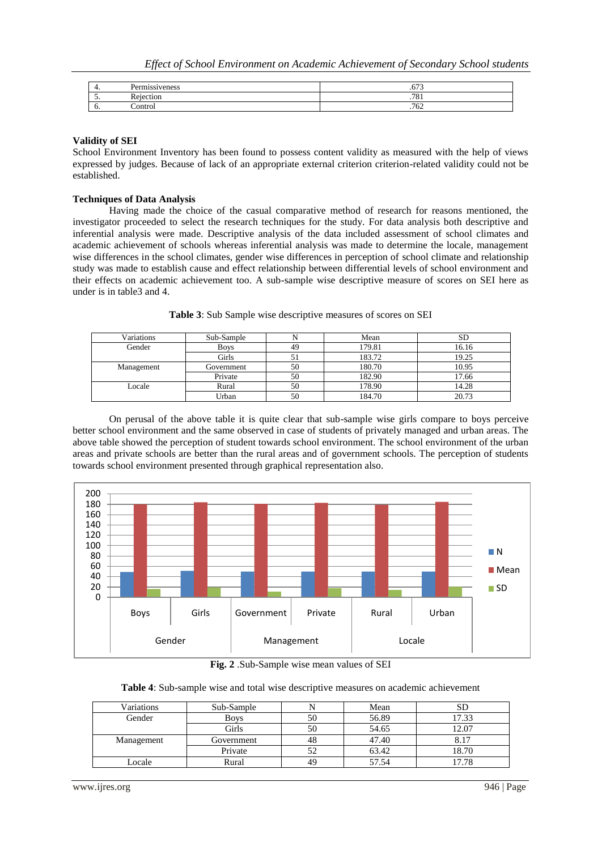| . .      | ∽<br>Permissiveness       | $\sim$<br>.v. J |
|----------|---------------------------|-----------------|
| <u>.</u> | $\mathbf{r}$<br>Rejection | 70<br>.701      |
| v.       | `ontrol                   | 76<br>104       |

### **Validity of SEI**

School Environment Inventory has been found to possess content validity as measured with the help of views expressed by judges. Because of lack of an appropriate external criterion criterion-related validity could not be established.

#### **Techniques of Data Analysis**

Having made the choice of the casual comparative method of research for reasons mentioned, the investigator proceeded to select the research techniques for the study. For data analysis both descriptive and inferential analysis were made. Descriptive analysis of the data included assessment of school climates and academic achievement of schools whereas inferential analysis was made to determine the locale, management wise differences in the school climates, gender wise differences in perception of school climate and relationship study was made to establish cause and effect relationship between differential levels of school environment and their effects on academic achievement too. A sub-sample wise descriptive measure of scores on SEI here as under is in table3 and 4.

| Variations | Sub-Sample  | N  | Mean   | SD    |
|------------|-------------|----|--------|-------|
| Gender     | <b>Boys</b> | 49 | 179.81 | 16.16 |
|            | Girls       |    | 183.72 | 19.25 |
| Management | Government  | 50 | 180.70 | 10.95 |
|            | Private     | 50 | 182.90 | 17.66 |
| Locale     | Rural       | 50 | 178.90 | 14.28 |
|            | Urban       | 50 | 184.70 | 20.73 |

**Table 3**: Sub Sample wise descriptive measures of scores on SEI

On perusal of the above table it is quite clear that sub-sample wise girls compare to boys perceive better school environment and the same observed in case of students of privately managed and urban areas. The above table showed the perception of student towards school environment. The school environment of the urban areas and private schools are better than the rural areas and of government schools. The perception of students towards school environment presented through graphical representation also.



**Fig. 2** .Sub-Sample wise mean values of SEI

**Table 4**: Sub-sample wise and total wise descriptive measures on academic achievement

| Variations | Sub-Sample  |    | Mean  | SD                    |
|------------|-------------|----|-------|-----------------------|
| Gender     | <b>Boys</b> | 50 | 56.89 | 17.33                 |
|            | Girls       | 50 | 54.65 | 12.07                 |
| Management | Government  | 48 | 47.40 |                       |
|            | Private     |    | 63.42 | 18.70                 |
| Locale     | Rural       |    | 57.54 | $\overline{ }$<br>.78 |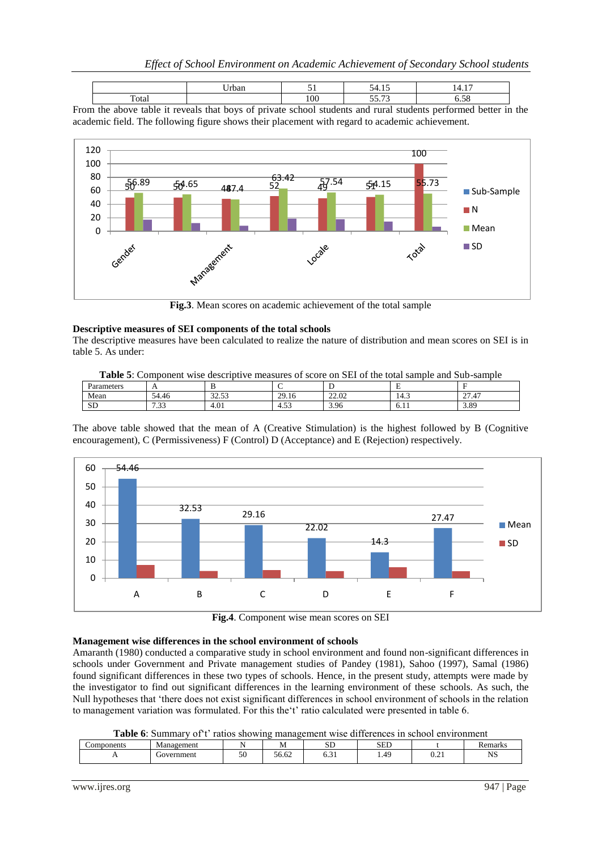|                      | rban |     | $\sim$         | -<br>- - - -             |
|----------------------|------|-----|----------------|--------------------------|
| $\mathbf{r}$<br>otal |      | 100 | $ -$<br>$\sim$ | $\overline{\phantom{a}}$ |

From the above table it reveals that boys of private school students and rural students performed better in the academic field. The following figure shows their placement with regard to academic achievement.



**Fig.3**. Mean scores on academic achievement of the total sample

### **Descriptive measures of SEI components of the total schools**

The descriptive measures have been calculated to realize the nature of distribution and mean scores on SEI is in table 5. As under:

| <b>Table 5:</b> Component wise descriptive measures of score on SEI of the total sample and Sub-sample |  |  |  |
|--------------------------------------------------------------------------------------------------------|--|--|--|
|--------------------------------------------------------------------------------------------------------|--|--|--|

| Parameters | $\overline{\phantom{a}}$               | Ð                     |                  |       | $\mathbf{r}$<br>. .                    |                                  |  |
|------------|----------------------------------------|-----------------------|------------------|-------|----------------------------------------|----------------------------------|--|
| Mean       | $\sim$<br>$\sim$ $\lambda$<br>4.46     | 22.52<br><i>ت ت ت</i> | 20<br>-<br>29.10 | 22.02 | $\overline{\phantom{a}}$<br>-4<br>14.3 | $\sim$<br>$\overline{A}$<br>21.4 |  |
| CD<br>עט   | $\sim$<br>$\overline{\phantom{0}}$<br> | 4.01                  | $\sim$<br>4.JJ   | 3.96  | -<br>$\sqrt{2}$<br>0.11                | 3.89                             |  |

The above table showed that the mean of A (Creative Stimulation) is the highest followed by B (Cognitive encouragement), C (Permissiveness) F (Control) D (Acceptance) and E (Rejection) respectively.



**Fig.4**. Component wise mean scores on SEI

### **Management wise differences in the school environment of schools**

Amaranth (1980) conducted a comparative study in school environment and found non-significant differences in schools under Government and Private management studies of Pandey (1981), Sahoo (1997), Samal (1986) found significant differences in these two types of schools. Hence, in the present study, attempts were made by the investigator to find out significant differences in the learning environment of these schools. As such, the Null hypotheses that "there does not exist significant differences in school environment of schools in the relation to management variation was formulated. For this the 't' ratio calculated were presented in table 6.

**Table 6**: Summary of t' ratios showing management wise differences in school environment

|            | .          |    |           |                     |      |             |         |
|------------|------------|----|-----------|---------------------|------|-------------|---------|
| Components | Management |    | <b>NI</b> | $\sim$ $-$<br>بالان | SED  |             | Remarks |
| . .        | Government | οU | 56.62     | ∪.J⊥                | 1.49 | $v_{\cdot}$ | NS      |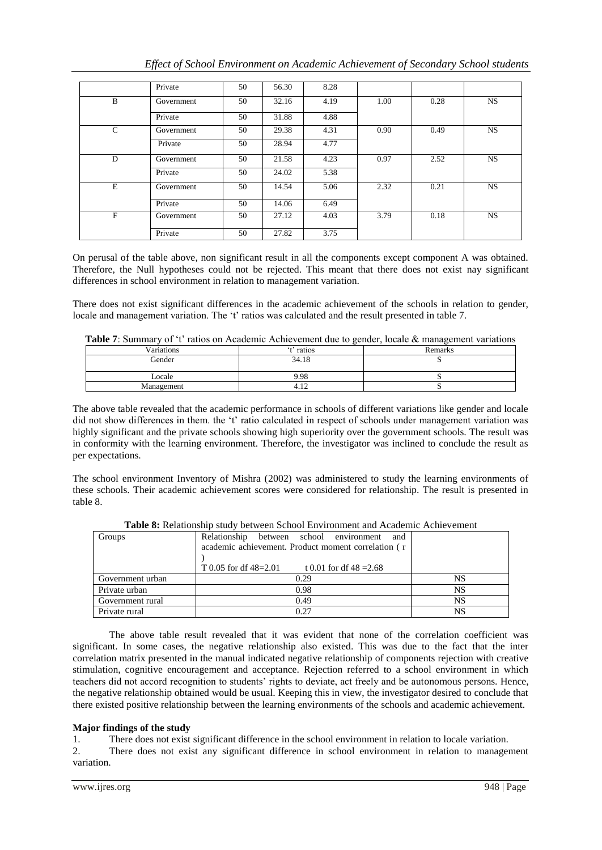|  | Effect of School Environment on Academic Achievement of Secondary School students |  |  |
|--|-----------------------------------------------------------------------------------|--|--|
|  |                                                                                   |  |  |
|  |                                                                                   |  |  |
|  |                                                                                   |  |  |

|              | Private    | 50 | 56.30 | 8.28 |      |      |           |
|--------------|------------|----|-------|------|------|------|-----------|
| B            | Government | 50 | 32.16 | 4.19 | 1.00 | 0.28 | <b>NS</b> |
|              | Private    | 50 | 31.88 | 4.88 |      |      |           |
| $\mathsf{C}$ | Government | 50 | 29.38 | 4.31 | 0.90 | 0.49 | <b>NS</b> |
|              | Private    | 50 | 28.94 | 4.77 |      |      |           |
| D            | Government | 50 | 21.58 | 4.23 | 0.97 | 2.52 | <b>NS</b> |
|              | Private    | 50 | 24.02 | 5.38 |      |      |           |
| E            | Government | 50 | 14.54 | 5.06 | 2.32 | 0.21 | <b>NS</b> |
|              | Private    | 50 | 14.06 | 6.49 |      |      |           |
| $\mathbf F$  | Government | 50 | 27.12 | 4.03 | 3.79 | 0.18 | <b>NS</b> |
|              | Private    | 50 | 27.82 | 3.75 |      |      |           |

On perusal of the table above, non significant result in all the components except component A was obtained. Therefore, the Null hypotheses could not be rejected. This meant that there does not exist nay significant differences in school environment in relation to management variation.

There does not exist significant differences in the academic achievement of the schools in relation to gender, locale and management variation. The 't' ratios was calculated and the result presented in table 7.

| Table 7: Summary of 't' ratios on Academic Achievement due to gender, locale & management variations |  |  |  |
|------------------------------------------------------------------------------------------------------|--|--|--|
|------------------------------------------------------------------------------------------------------|--|--|--|

| Variations | 't' ratios | Remarks |
|------------|------------|---------|
| Gender     | 34.18      | ້       |
| Locale     | 9.98       |         |
| Management | ┱.⊥∠       |         |

The above table revealed that the academic performance in schools of different variations like gender and locale did not show differences in them. the 't' ratio calculated in respect of schools under management variation was highly significant and the private schools showing high superiority over the government schools. The result was in conformity with the learning environment. Therefore, the investigator was inclined to conclude the result as per expectations.

The school environment Inventory of Mishra (2002) was administered to study the learning environments of these schools. Their academic achievement scores were considered for relationship. The result is presented in table 8.

| Groups           | Relationship<br>between school environment<br>and    |    |  |
|------------------|------------------------------------------------------|----|--|
|                  | academic achievement. Product moment correlation (r  |    |  |
|                  |                                                      |    |  |
|                  | T 0.05 for df $48=2.01$<br>t 0.01 for df $48 = 2.68$ |    |  |
| Government urban | 0.29                                                 | NS |  |
| Private urban    | 0.98                                                 | NS |  |
| Government rural | 0.49                                                 | NS |  |
| Private rural    | 0.27                                                 | NS |  |

**Table 8:** Relationship study between School Environment and Academic Achievement

The above table result revealed that it was evident that none of the correlation coefficient was significant. In some cases, the negative relationship also existed. This was due to the fact that the inter correlation matrix presented in the manual indicated negative relationship of components rejection with creative stimulation, cognitive encouragement and acceptance. Rejection referred to a school environment in which teachers did not accord recognition to students" rights to deviate, act freely and be autonomous persons. Hence, the negative relationship obtained would be usual. Keeping this in view, the investigator desired to conclude that there existed positive relationship between the learning environments of the schools and academic achievement.

# **Major findings of the study**

1. There does not exist significant difference in the school environment in relation to locale variation.

2. There does not exist any significant difference in school environment in relation to management variation.